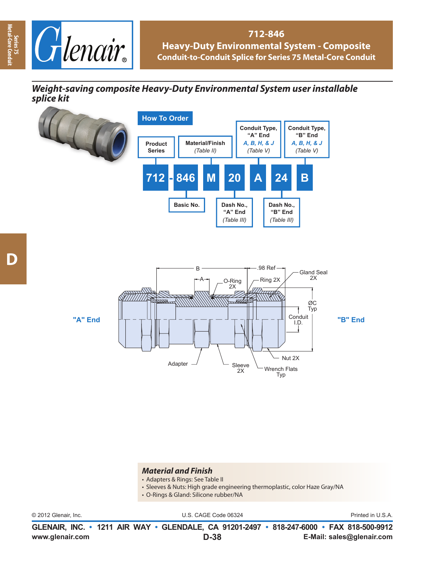

### **712-846 Heavy-Duty Environmental System - Composite Conduit-to-Conduit Splice for Series 75 Metal-Core Conduit**

# *Weight-saving composite Heavy-Duty Environmental System user installable splice kit p*







#### *Material and Finish*

- Adapters & Rings: See Table II
- Sleeves & Nuts: High grade engineering thermoplastic, color Haze Gray/NA
- O-Rings & Gland: Silicone rubber/NA

© 2012 Glenair, Inc. U.S. CAGE Code 06324 Printed in U.S.A.

**www.glenair.com E-Mail: sales@glenair.com GLENAIR, INC. • 1211 AIR WAY • GLENDALE, CA 91201-2497 • 818-247-6000 • FAX 818-500-9912 D-38**